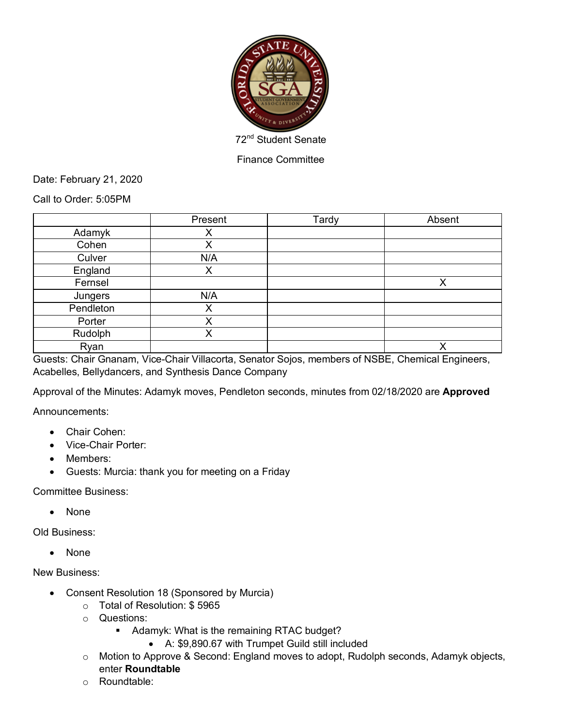

Finance Committee

Date: February 21, 2020

Call to Order: 5:05PM

|           | Present | Tardy | Absent |
|-----------|---------|-------|--------|
| Adamyk    | ∧       |       |        |
| Cohen     | X       |       |        |
| Culver    | N/A     |       |        |
| England   | х       |       |        |
| Fernsel   |         |       | Χ      |
| Jungers   | N/A     |       |        |
| Pendleton | Χ       |       |        |
| Porter    | ✓<br>∧  |       |        |
| Rudolph   | Χ       |       |        |
| Ryan      |         |       | v      |

Guests: Chair Gnanam, Vice-Chair Villacorta, Senator Sojos, members of NSBE, Chemical Engineers, Acabelles, Bellydancers, and Synthesis Dance Company

Approval of the Minutes: Adamyk moves, Pendleton seconds, minutes from 02/18/2020 are **Approved**

Announcements:

- Chair Cohen:
- Vice-Chair Porter:
- Members:
- Guests: Murcia: thank you for meeting on a Friday

Committee Business:

• None

Old Business:

• None

New Business:

- Consent Resolution 18 (Sponsored by Murcia)
	- o Total of Resolution: \$ 5965
	- o Questions:
		- Adamyk: What is the remaining RTAC budget?
			- A: \$9,890.67 with Trumpet Guild still included
	- o Motion to Approve & Second: England moves to adopt, Rudolph seconds, Adamyk objects, enter **Roundtable**
	- o Roundtable: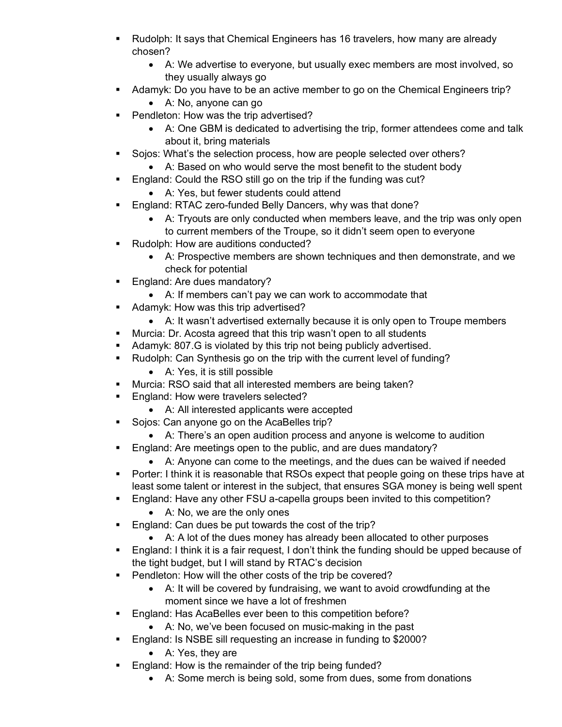- § Rudolph: It says that Chemical Engineers has 16 travelers, how many are already chosen?
	- A: We advertise to everyone, but usually exec members are most involved, so they usually always go
- Adamyk: Do you have to be an active member to go on the Chemical Engineers trip?
	- A: No, anyone can go
- Pendleton: How was the trip advertised?
	- A: One GBM is dedicated to advertising the trip, former attendees come and talk about it, bring materials
- Sojos: What's the selection process, how are people selected over others?
	- A: Based on who would serve the most benefit to the student body
- England: Could the RSO still go on the trip if the funding was cut?
	- A: Yes, but fewer students could attend
- England: RTAC zero-funded Belly Dancers, why was that done?
	- A: Tryouts are only conducted when members leave, and the trip was only open to current members of the Troupe, so it didn't seem open to everyone
- Rudolph: How are auditions conducted?
	- A: Prospective members are shown techniques and then demonstrate, and we check for potential
- England: Are dues mandatory?
	- A: If members can't pay we can work to accommodate that
- Adamyk: How was this trip advertised?
	- A: It wasn't advertised externally because it is only open to Troupe members
- Murcia: Dr. Acosta agreed that this trip wasn't open to all students
- Adamyk: 807.G is violated by this trip not being publicly advertised.
- Rudolph: Can Synthesis go on the trip with the current level of funding?
	- A: Yes, it is still possible
- Murcia: RSO said that all interested members are being taken?
- **England: How were travelers selected?** 
	- A: All interested applicants were accepted
- Sojos: Can anyone go on the AcaBelles trip?
	- A: There's an open audition process and anyone is welcome to audition
- **England: Are meetings open to the public, and are dues mandatory?** 
	- A: Anyone can come to the meetings, and the dues can be waived if needed
- Porter: I think it is reasonable that RSOs expect that people going on these trips have at least some talent or interest in the subject, that ensures SGA money is being well spent
- § England: Have any other FSU a-capella groups been invited to this competition?
	- A: No, we are the only ones
- England: Can dues be put towards the cost of the trip?
	- A: A lot of the dues money has already been allocated to other purposes
- England: I think it is a fair request, I don't think the funding should be upped because of the tight budget, but I will stand by RTAC's decision
- Pendleton: How will the other costs of the trip be covered?
	- A: It will be covered by fundraising, we want to avoid crowdfunding at the moment since we have a lot of freshmen
- England: Has AcaBelles ever been to this competition before?
	- A: No, we've been focused on music-making in the past
- England: Is NSBE sill requesting an increase in funding to \$2000?
	- A: Yes, they are
- England: How is the remainder of the trip being funded?
	- A: Some merch is being sold, some from dues, some from donations